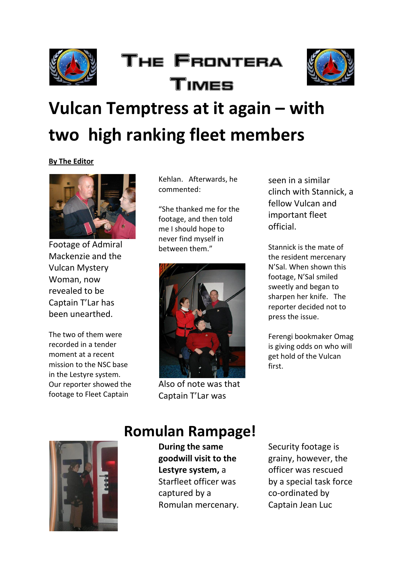

## The Frontera Times



## **Vulcan Temptress at it again – with two high ranking fleet members**

#### **By The Editor**



Footage of Admiral Mackenzie and the Vulcan Mystery Woman, now revealed to be Captain T'Lar has been unearthed.

The two of them were recorded in a tender moment at a recent mission to the NSC base in the Lestyre system. Our reporter showed the footage to Fleet Captain

Kehlan. Afterwards, he commented:

"She thanked me for the footage, and then told me I should hope to never find myself in between them."



Also of note was that Captain T'Lar was

seen in a similar clinch with Stannick, a fellow Vulcan and important fleet official.

Stannick is the mate of the resident mercenary N'Sal. When shown this footage, N'Sal smiled sweetly and began to sharpen her knife. The reporter decided not to press the issue.

Ferengi bookmaker Omag is giving odds on who will get hold of the Vulcan first.



#### **Romulan Rampage!**

**During the same goodwill visit to the Lestyre system,** a Starfleet officer was captured by a Romulan mercenary.

Security footage is grainy, however, the officer was rescued by a special task force co-ordinated by Captain Jean Luc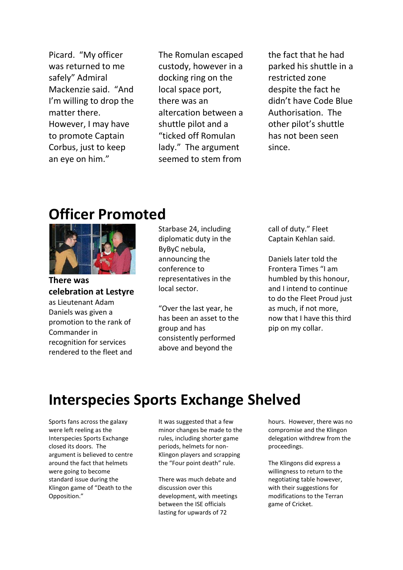Picard. "My officer was returned to me safely" Admiral Mackenzie said. "And I'm willing to drop the matter there. However, I may have to promote Captain Corbus, just to keep an eye on him."

The Romulan escaped custody, however in a docking ring on the local space port, there was an altercation between a shuttle pilot and a "ticked off Romulan lady." The argument seemed to stem from

the fact that he had parked his shuttle in a restricted zone despite the fact he didn't have Code Blue Authorisation. The other pilot's shuttle has not been seen since.

#### **Officer Promoted**



**There was celebration at Lestyre** as Lieutenant Adam Daniels was given a promotion to the rank of Commander in recognition for services

rendered to the fleet and

Starbase 24, including diplomatic duty in the ByByC nebula, announcing the conference to representatives in the local sector.

"Over the last year, he has been an asset to the group and has consistently performed above and beyond the

call of duty." Fleet Captain Kehlan said.

Daniels later told the Frontera Times "I am humbled by this honour, and I intend to continue to do the Fleet Proud just as much, if not more, now that I have this third pip on my collar.

### **Interspecies Sports Exchange Shelved**

Sports fans across the galaxy were left reeling as the Interspecies Sports Exchange closed its doors. The argument is believed to centre around the fact that helmets were going to become standard issue during the Klingon game of "Death to the Opposition."

It was suggested that a few minor changes be made to the rules, including shorter game periods, helmets for non-Klingon players and scrapping the "Four point death" rule.

There was much debate and discussion over this development, with meetings between the ISE officials lasting for upwards of 72

hours. However, there was no compromise and the Klingon delegation withdrew from the proceedings.

The Klingons did express a willingness to return to the negotiating table however, with their suggestions for modifications to the Terran game of Cricket.